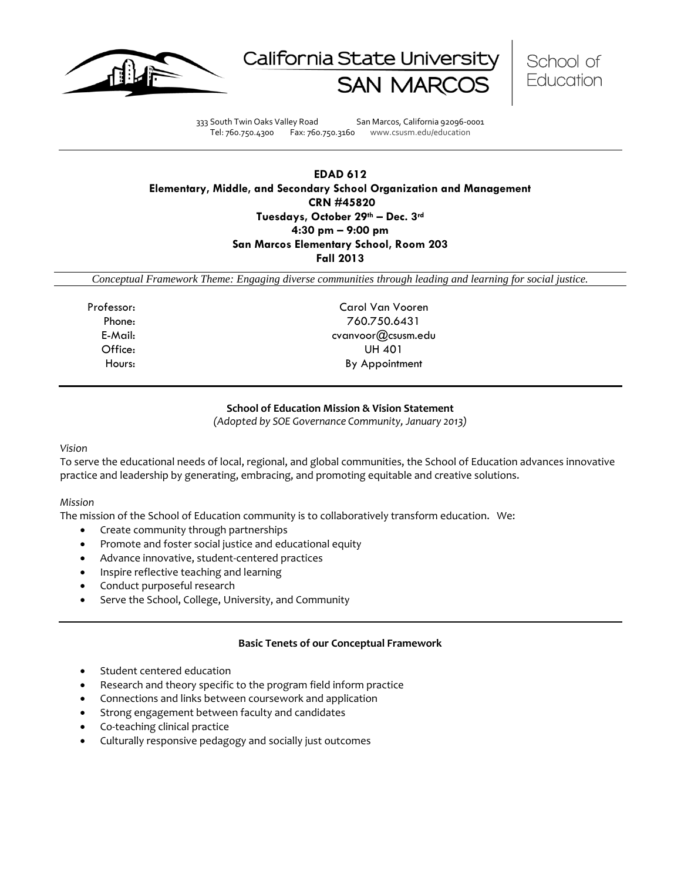





333 South Twin Oaks Valley Road San Marcos, California 92096-0001 Tel: 760.750.4300 Fax: 760.750.3160 www.csusm.edu/education

## **EDAD 612 Elementary, Middle, and Secondary School Organization and Management CRN #45820 Tuesdays, October 29th – Dec. 3rd 4:30 pm – 9:00 pm San Marcos Elementary School, Room 203 Fall 2013**

*Conceptual Framework Theme: Engaging diverse communities through leading and learning for social justice.*

Professor: Carol Van Vooren Phone: 760.750.6431 E-Mail: cvanvoor@csusm.edu Office: UH 401 Hours: By Appointment

#### **School of Education Mission & Vision Statement**

*(Adopted by SOE Governance Community, January 2013)*

#### *Vision*

To serve the educational needs of local, regional, and global communities, the School of Education advances innovative practice and leadership by generating, embracing, and promoting equitable and creative solutions.

## *Mission*

The mission of the School of Education community is to collaboratively transform education. We:

- Create community through partnerships
- Promote and foster social justice and educational equity
- Advance innovative, student-centered practices
- Inspire reflective teaching and learning
- Conduct purposeful research
- Serve the School, College, University, and Community

## **Basic Tenets of our Conceptual Framework**

- Student centered education
- Research and theory specific to the program field inform practice
- Connections and links between coursework and application
- Strong engagement between faculty and candidates
- Co-teaching clinical practice
- Culturally responsive pedagogy and socially just outcomes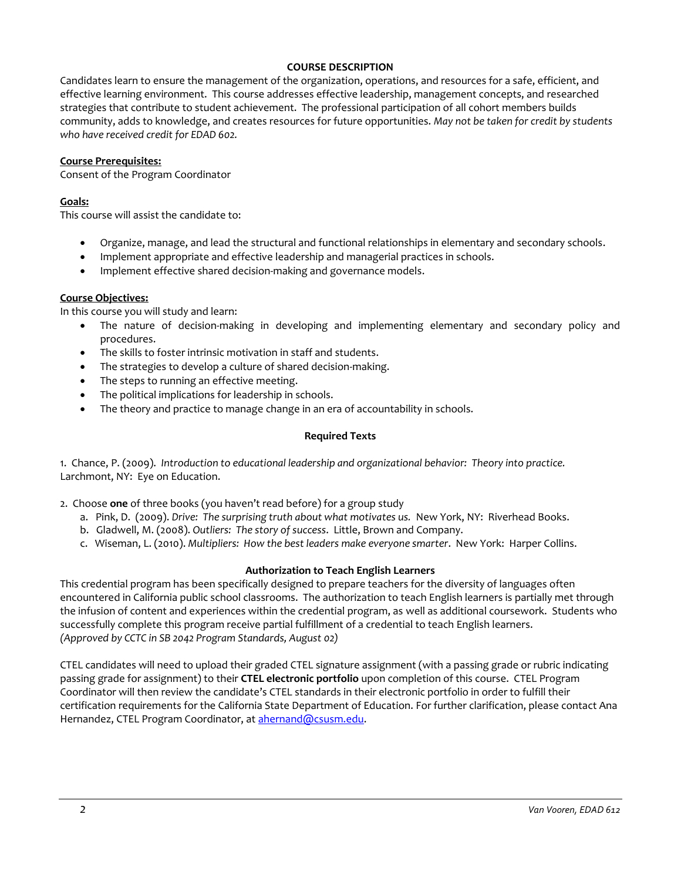### **COURSE DESCRIPTION**

Candidates learn to ensure the management of the organization, operations, and resources for a safe, efficient, and effective learning environment. This course addresses effective leadership, management concepts, and researched strategies that contribute to student achievement. The professional participation of all cohort members builds community, adds to knowledge, and creates resources for future opportunities. *May not be taken for credit by students who have received credit for EDAD 602.* 

#### **Course Prerequisites:**

Consent of the Program Coordinator

#### **Goals:**

This course will assist the candidate to:

- Organize, manage, and lead the structural and functional relationships in elementary and secondary schools.
- Implement appropriate and effective leadership and managerial practices in schools.
- Implement effective shared decision-making and governance models.

#### **Course Objectives:**

In this course you will study and learn:

- The nature of decision-making in developing and implementing elementary and secondary policy and procedures.
- The skills to foster intrinsic motivation in staff and students.
- The strategies to develop a culture of shared decision-making.
- The steps to running an effective meeting.
- The political implications for leadership in schools.
- The theory and practice to manage change in an era of accountability in schools.

#### **Required Texts**

1. Chance, P. (2009). *Introduction to educational leadership and organizational behavior: Theory into practice.* Larchmont, NY: Eye on Education.

2. Choose **one** of three books (you haven't read before) for a group study

- a. Pink, D. (2009). *Drive: The surprising truth about what motivates us.* New York, NY: Riverhead Books.
- b. Gladwell, M. (2008). *Outliers: The story of success*. Little, Brown and Company.
- c. Wiseman, L. (2010). *Multipliers: How the best leaders make everyone smarter*. New York: Harper Collins.

## **Authorization to Teach English Learners**

This credential program has been specifically designed to prepare teachers for the diversity of languages often encountered in California public school classrooms. The authorization to teach English learners is partially met through the infusion of content and experiences within the credential program, as well as additional coursework. Students who successfully complete this program receive partial fulfillment of a credential to teach English learners. *(Approved by CCTC in SB 2042 Program Standards, August 02)*

CTEL candidates will need to upload their graded CTEL signature assignment (with a passing grade or rubric indicating passing grade for assignment) to their **CTEL electronic portfolio** upon completion of this course. CTEL Program Coordinator will then review the candidate's CTEL standards in their electronic portfolio in order to fulfill their certification requirements for the California State Department of Education. For further clarification, please contact Ana Hernandez, CTEL Program Coordinator, at [ahernand@csusm.edu.](https://bl2prd0511.outlook.com/owa/redir.aspx?C=AW7hZ-DBL0G6FPgB8G8Eri3bAwuccNAIwYI81VgsrzvmHC5AEo6nGJNyvZWC7aqWfxtUgiTx_9k.&URL=mailto%3aahernand%40csusm.edu)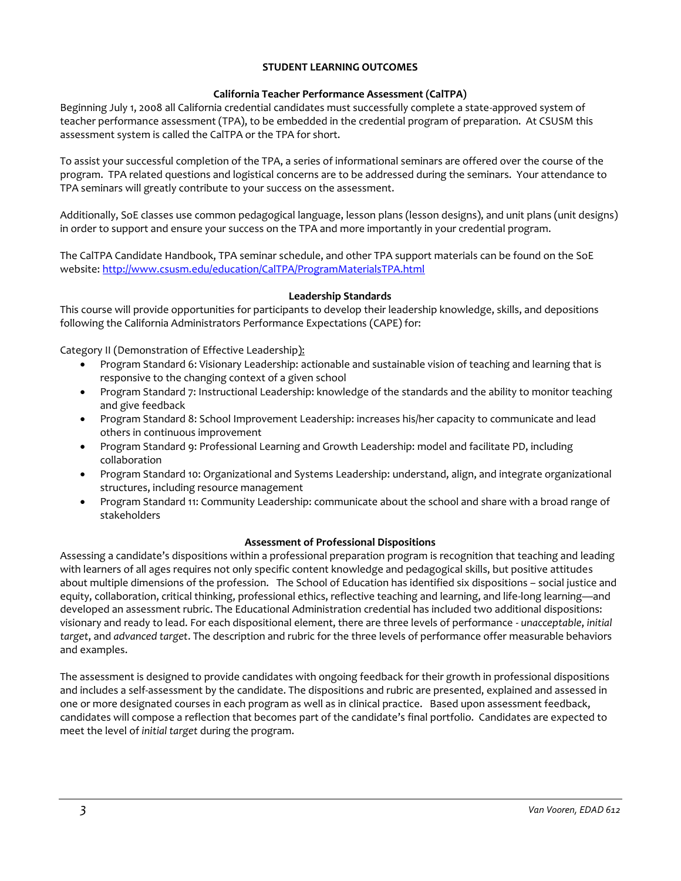## **STUDENT LEARNING OUTCOMES**

## **California Teacher Performance Assessment (CalTPA)**

Beginning July 1, 2008 all California credential candidates must successfully complete a state-approved system of teacher performance assessment (TPA), to be embedded in the credential program of preparation. At CSUSM this assessment system is called the CalTPA or the TPA for short.

To assist your successful completion of the TPA, a series of informational seminars are offered over the course of the program. TPA related questions and logistical concerns are to be addressed during the seminars. Your attendance to TPA seminars will greatly contribute to your success on the assessment.

Additionally, SoE classes use common pedagogical language, lesson plans (lesson designs), and unit plans (unit designs) in order to support and ensure your success on the TPA and more importantly in your credential program.

The CalTPA Candidate Handbook, TPA seminar schedule, and other TPA support materials can be found on the SoE website:<http://www.csusm.edu/education/CalTPA/ProgramMaterialsTPA.html>

## **Leadership Standards**

This course will provide opportunities for participants to develop their leadership knowledge, skills, and depositions following the California Administrators Performance Expectations (CAPE) for:

Category II (Demonstration of Effective Leadership):

- Program Standard 6: Visionary Leadership: actionable and sustainable vision of teaching and learning that is responsive to the changing context of a given school
- Program Standard 7: Instructional Leadership: knowledge of the standards and the ability to monitor teaching and give feedback
- Program Standard 8: School Improvement Leadership: increases his/her capacity to communicate and lead others in continuous improvement
- Program Standard 9: Professional Learning and Growth Leadership: model and facilitate PD, including collaboration
- Program Standard 10: Organizational and Systems Leadership: understand, align, and integrate organizational structures, including resource management
- Program Standard 11: Community Leadership: communicate about the school and share with a broad range of stakeholders

# **Assessment of Professional Dispositions**

Assessing a candidate's dispositions within a professional preparation program is recognition that teaching and leading with learners of all ages requires not only specific content knowledge and pedagogical skills, but positive attitudes about multiple dimensions of the profession. The School of Education has identified six dispositions – social justice and equity, collaboration, critical thinking, professional ethics, reflective teaching and learning, and life-long learning—and developed an assessment rubric. The Educational Administration credential has included two additional dispositions: visionary and ready to lead. For each dispositional element, there are three levels of performance - *unacceptable*, *initial target*, and *advanced target*. The description and rubric for the three levels of performance offer measurable behaviors and examples.

The assessment is designed to provide candidates with ongoing feedback for their growth in professional dispositions and includes a self-assessment by the candidate. The dispositions and rubric are presented, explained and assessed in one or more designated courses in each program as well as in clinical practice. Based upon assessment feedback, candidates will compose a reflection that becomes part of the candidate's final portfolio. Candidates are expected to meet the level of *initial target* during the program.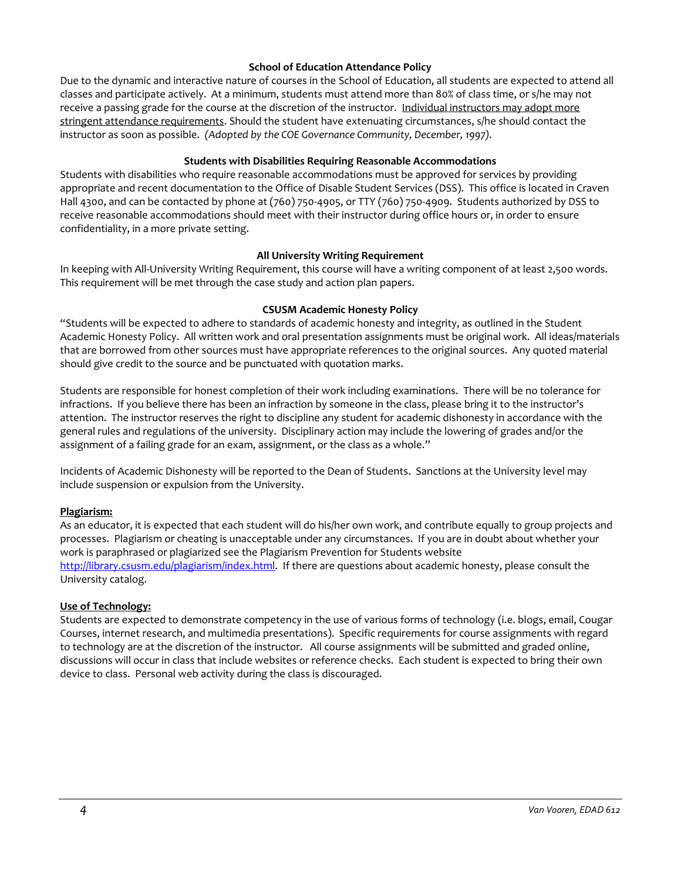## **School of Education Attendance Policy**

Due to the dynamic and interactive nature of courses in the School of Education, all students are expected to attend all classes and participate actively. At a minimum, students must attend more than 80% of class time, or s/he may not receive a passing grade for the course at the discretion of the instructor. Individual instructors may adopt more stringent attendance requirements. Should the student have extenuating circumstances, s/he should contact the instructor as soon as possible. *(Adopted by the COE Governance Community, December, 1997).*

## **Students with Disabilities Requiring Reasonable Accommodations**

Students with disabilities who require reasonable accommodations must be approved for services by providing appropriate and recent documentation to the Office of Disable Student Services (DSS). This office is located in Craven Hall 4300, and can be contacted by phone at (760) 750-4905, or TTY (760) 750-4909. Students authorized by DSS to receive reasonable accommodations should meet with their instructor during office hours or, in order to ensure confidentiality, in a more private setting.

## **All University Writing Requirement**

In keeping with All-University Writing Requirement, this course will have a writing component of at least 2,500 words. This requirement will be met through the case study and action plan papers.

## **CSUSM Academic Honesty Policy**

"Students will be expected to adhere to standards of academic honesty and integrity, as outlined in the Student Academic Honesty Policy. All written work and oral presentation assignments must be original work. All ideas/materials that are borrowed from other sources must have appropriate references to the original sources. Any quoted material should give credit to the source and be punctuated with quotation marks.

Students are responsible for honest completion of their work including examinations. There will be no tolerance for infractions. If you believe there has been an infraction by someone in the class, please bring it to the instructor's attention. The instructor reserves the right to discipline any student for academic dishonesty in accordance with the general rules and regulations of the university. Disciplinary action may include the lowering of grades and/or the assignment of a failing grade for an exam, assignment, or the class as a whole."

Incidents of Academic Dishonesty will be reported to the Dean of Students. Sanctions at the University level may include suspension or expulsion from the University.

## **Plagiarism:**

As an educator, it is expected that each student will do his/her own work, and contribute equally to group projects and processes. Plagiarism or cheating is unacceptable under any circumstances. If you are in doubt about whether your work is paraphrased or plagiarized see the Plagiarism Prevention for Students website [http://library.csusm.edu/plagiarism/index.html.](http://library.csusm.edu/plagiarism/index.html) If there are questions about academic honesty, please consult the University catalog.

# **Use of Technology:**

Students are expected to demonstrate competency in the use of various forms of technology (i.e. blogs, email, Cougar Courses, internet research, and multimedia presentations). Specific requirements for course assignments with regard to technology are at the discretion of the instructor. All course assignments will be submitted and graded online, discussions will occur in class that include websites or reference checks. Each student is expected to bring their own device to class. Personal web activity during the class is discouraged.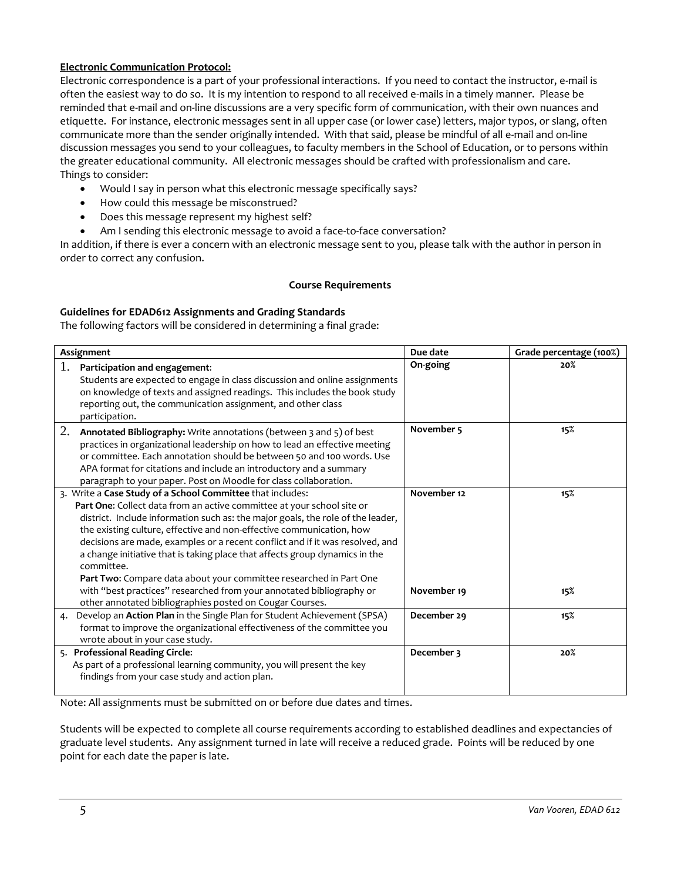# **Electronic Communication Protocol:**

Electronic correspondence is a part of your professional interactions. If you need to contact the instructor, e-mail is often the easiest way to do so. It is my intention to respond to all received e-mails in a timely manner. Please be reminded that e-mail and on-line discussions are a very specific form of communication, with their own nuances and etiquette. For instance, electronic messages sent in all upper case (or lower case) letters, major typos, or slang, often communicate more than the sender originally intended. With that said, please be mindful of all e-mail and on-line discussion messages you send to your colleagues, to faculty members in the School of Education, or to persons within the greater educational community. All electronic messages should be crafted with professionalism and care. Things to consider:

- Would I say in person what this electronic message specifically says?
- How could this message be misconstrued?
- Does this message represent my highest self?
- Am I sending this electronic message to avoid a face-to-face conversation?

In addition, if there is ever a concern with an electronic message sent to you, please talk with the author in person in order to correct any confusion.

## **Course Requirements**

## **Guidelines for EDAD612 Assignments and Grading Standards**

The following factors will be considered in determining a final grade:

| Assignment                                                                                                                                                                                                                                                                                                                                                                                                                                                                                                                                          | Due date              | Grade percentage (100%) |
|-----------------------------------------------------------------------------------------------------------------------------------------------------------------------------------------------------------------------------------------------------------------------------------------------------------------------------------------------------------------------------------------------------------------------------------------------------------------------------------------------------------------------------------------------------|-----------------------|-------------------------|
| 1.<br>Participation and engagement:<br>Students are expected to engage in class discussion and online assignments<br>on knowledge of texts and assigned readings. This includes the book study<br>reporting out, the communication assignment, and other class<br>participation.                                                                                                                                                                                                                                                                    | On-going              | 20%                     |
| 2.<br>Annotated Bibliography: Write annotations (between 3 and 5) of best<br>practices in organizational leadership on how to lead an effective meeting<br>or committee. Each annotation should be between 50 and 100 words. Use<br>APA format for citations and include an introductory and a summary<br>paragraph to your paper. Post on Moodle for class collaboration.                                                                                                                                                                          | November <sub>5</sub> | 15%                     |
| 3. Write a Case Study of a School Committee that includes:<br>Part One: Collect data from an active committee at your school site or<br>district. Include information such as: the major goals, the role of the leader,<br>the existing culture, effective and non-effective communication, how<br>decisions are made, examples or a recent conflict and if it was resolved, and<br>a change initiative that is taking place that affects group dynamics in the<br>committee.<br>Part Two: Compare data about your committee researched in Part One | November 12           | 15%                     |
| with "best practices" researched from your annotated bibliography or<br>other annotated bibliographies posted on Cougar Courses.                                                                                                                                                                                                                                                                                                                                                                                                                    | November 19           | 15%                     |
| Develop an Action Plan in the Single Plan for Student Achievement (SPSA)<br>4.<br>format to improve the organizational effectiveness of the committee you<br>wrote about in your case study.                                                                                                                                                                                                                                                                                                                                                        | December 29           | 15%                     |
| 5. Professional Reading Circle:<br>As part of a professional learning community, you will present the key<br>findings from your case study and action plan.                                                                                                                                                                                                                                                                                                                                                                                         | December 3            | 20%                     |

Note: All assignments must be submitted on or before due dates and times.

Students will be expected to complete all course requirements according to established deadlines and expectancies of graduate level students. Any assignment turned in late will receive a reduced grade. Points will be reduced by one point for each date the paper is late.